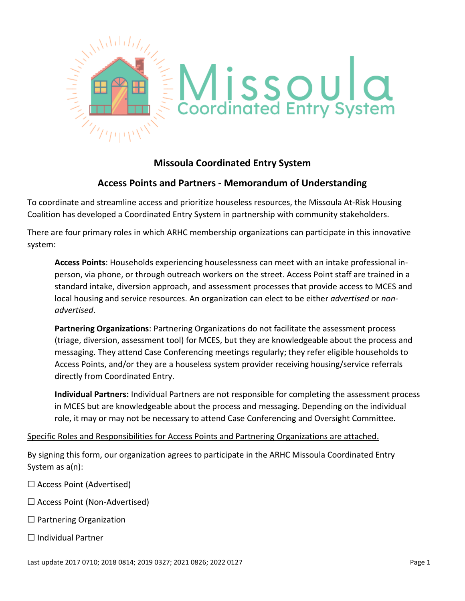

# **Missoula Coordinated Entry System**

# **Access Points and Partners - Memorandum of Understanding**

To coordinate and streamline access and prioritize houseless resources, the Missoula At-Risk Housing Coalition has developed a Coordinated Entry System in partnership with community stakeholders.

There are four primary roles in which ARHC membership organizations can participate in this innovative system:

**Access Points**: Households experiencing houselessness can meet with an intake professional inperson, via phone, or through outreach workers on the street. Access Point staff are trained in a standard intake, diversion approach, and assessment processes that provide access to MCES and local housing and service resources. An organization can elect to be either *advertised* or *nonadvertised*.

**Partnering Organizations**: Partnering Organizations do not facilitate the assessment process (triage, diversion, assessment tool) for MCES, but they are knowledgeable about the process and messaging. They attend Case Conferencing meetings regularly; they refer eligible households to Access Points, and/or they are a houseless system provider receiving housing/service referrals directly from Coordinated Entry.

**Individual Partners:** Individual Partners are not responsible for completing the assessment process in MCES but are knowledgeable about the process and messaging. Depending on the individual role, it may or may not be necessary to attend Case Conferencing and Oversight Committee.

## Specific Roles and Responsibilities for Access Points and Partnering Organizations are attached.

By signing this form, our organization agrees to participate in the ARHC Missoula Coordinated Entry System as a(n):

- ☐ Access Point (Advertised)
- ☐ Access Point (Non-Advertised)
- $\Box$  Partnering Organization
- ☐ Individual Partner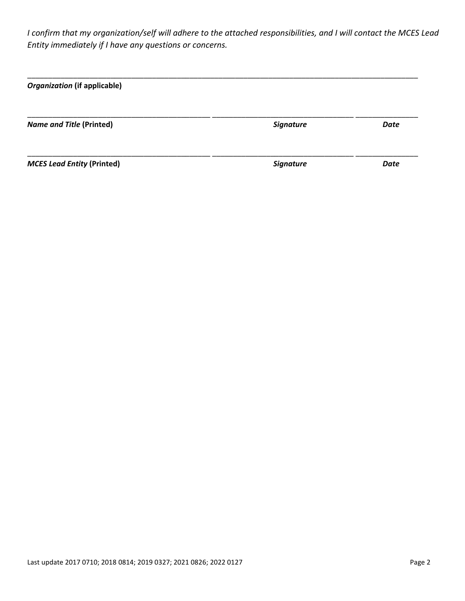*I confirm that my organization/self will adhere to the attached responsibilities, and I will contact the MCES Lead Entity immediately if I have any questions or concerns.*

| <b>Organization (if applicable)</b> |                  |      |
|-------------------------------------|------------------|------|
| <b>Name and Title (Printed)</b>     | <b>Signature</b> | Date |
| <b>MCES Lead Entity (Printed)</b>   | <b>Signature</b> | Date |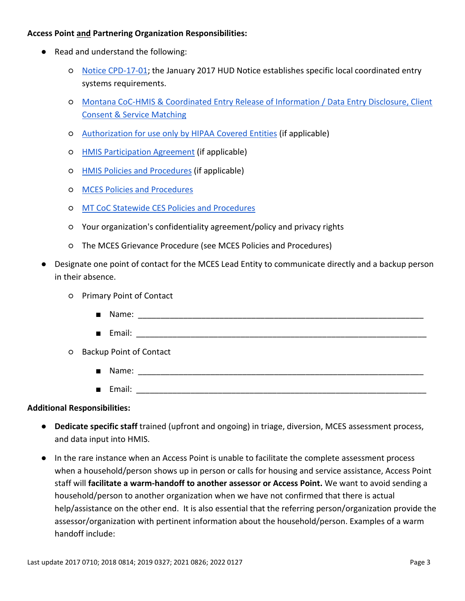### **Access Point and Partnering Organization Responsibilities:**

- Read and understand the following:
	- [Notice CPD-17-01;](https://www.hudexchange.info/resources/documents/Notice-CPD-17-01-Establishing-Additional-Requirements-or-a-Continuum-of-Care-Centralized-or-Coordinated-Assessment-System.pdf) the January 2017 HUD Notice establishes specific local coordinated entry systems requirements.
	- [Montana CoC-HMIS & Coordinated Entry Release of Information / Data Entry Disclosure, Client](https://drive.google.com/file/d/1twLaOvinvguy8V8yRjC7KyD-0ftBSG6X/view?usp=sharing)  [Consent & Service Matching](https://drive.google.com/file/d/1twLaOvinvguy8V8yRjC7KyD-0ftBSG6X/view?usp=sharing)
	- [Authorization for use only by HIPAA Covered Entities](https://drive.google.com/file/d/1kXSksaYzlZzTLGlNtd60YchFfufIsFqQ/view) (if applicable)
	- [HMIS Participation Agreement](https://drive.google.com/file/d/1HDou9WO7SzPDeeaJmW6skjGtH_POBM34/view) (if applicable)
	- [HMIS Policies and Procedures](https://docs.google.com/document/d/1Ot2g6QQYCltTaAT_blaqYQwSNIqmKNH0fO8jmxXqo34/edit) (if applicable)
	- [MCES Policies and Procedures](https://drive.google.com/open?id=1s65_M01yNf-ee8t8xyX5wZwI3yCspoq8)
	- [MT CoC Statewide CES Policies and Procedures](https://drive.google.com/open?id=16VxaToHWw4wdVgXVqiGCyXvlpYZrQDsn)
	- Your organization's confidentiality agreement/policy and privacy rights
	- The MCES Grievance Procedure (see MCES Policies and Procedures)
- Designate one point of contact for the MCES Lead Entity to communicate directly and a backup person in their absence.
	- Primary Point of Contact
		- Name: \_\_\_\_\_\_\_\_\_\_\_\_\_\_\_\_\_\_\_\_\_\_\_\_\_\_\_\_\_\_\_\_\_\_\_\_\_\_\_\_\_\_\_\_\_\_\_\_\_\_\_\_\_\_\_\_\_\_\_\_\_\_\_
		- $\blacksquare$  Email:  $\blacksquare$
	- Backup Point of Contact
		- Name: \_\_\_\_\_\_\_\_\_\_\_\_\_\_\_\_\_\_\_\_\_\_\_\_\_\_\_\_\_\_\_\_\_\_\_\_\_\_\_\_\_\_\_\_\_\_\_\_\_\_\_\_\_\_\_\_\_\_\_\_\_\_\_
		- $\blacksquare$  Email:  $\blacksquare$

#### **Additional Responsibilities:**

- **Dedicate specific staff** trained (upfront and ongoing) in triage, diversion, MCES assessment process, and data input into HMIS.
- In the rare instance when an Access Point is unable to facilitate the complete assessment process when a household/person shows up in person or calls for housing and service assistance, Access Point staff will **facilitate a warm-handoff to another assessor or Access Point.** We want to avoid sending a household/person to another organization when we have not confirmed that there is actual help/assistance on the other end. It is also essential that the referring person/organization provide the assessor/organization with pertinent information about the household/person. Examples of a warm handoff include: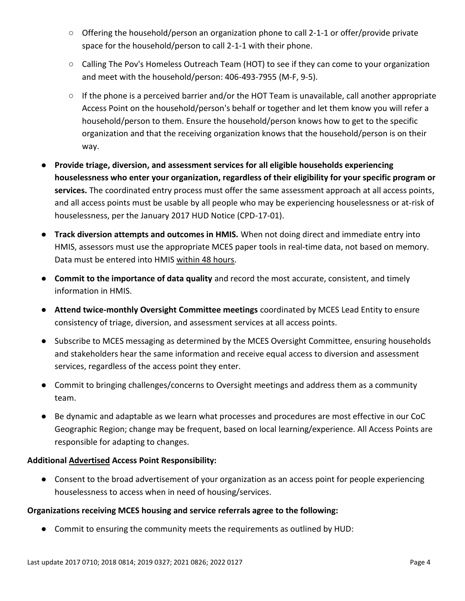- Offering the household/person an organization phone to call 2-1-1 or offer/provide private space for the household/person to call 2-1-1 with their phone.
- Calling The Pov's Homeless Outreach Team (HOT) to see if they can come to your organization and meet with the household/person: 406-493-7955 (M-F, 9-5).
- If the phone is a perceived barrier and/or the HOT Team is unavailable, call another appropriate Access Point on the household/person's behalf or together and let them know you will refer a household/person to them. Ensure the household/person knows how to get to the specific organization and that the receiving organization knows that the household/person is on their way.
- **Provide triage, diversion, and assessment services for all eligible households experiencing houselessness who enter your organization, regardless of their eligibility for your specific program or services.** The coordinated entry process must offer the same assessment approach at all access points, and all access points must be usable by all people who may be experiencing houselessness or at-risk of houselessness, per the January 2017 HUD Notice (CPD-17-01).
- **Track diversion attempts and outcomes in HMIS.** When not doing direct and immediate entry into HMIS, assessors must use the appropriate MCES paper tools in real-time data, not based on memory. Data must be entered into HMIS within 48 hours.
- **Commit to the importance of data quality** and record the most accurate, consistent, and timely information in HMIS.
- **Attend twice-monthly Oversight Committee meetings** coordinated by MCES Lead Entity to ensure consistency of triage, diversion, and assessment services at all access points.
- Subscribe to MCES messaging as determined by the MCES Oversight Committee, ensuring households and stakeholders hear the same information and receive equal access to diversion and assessment services, regardless of the access point they enter.
- Commit to bringing challenges/concerns to Oversight meetings and address them as a community team.
- Be dynamic and adaptable as we learn what processes and procedures are most effective in our CoC Geographic Region; change may be frequent, based on local learning/experience. All Access Points are responsible for adapting to changes.

## **Additional Advertised Access Point Responsibility:**

● Consent to the broad advertisement of your organization as an access point for people experiencing houselessness to access when in need of housing/services.

## **Organizations receiving MCES housing and service referrals agree to the following:**

● Commit to ensuring the community meets the requirements as outlined by HUD: